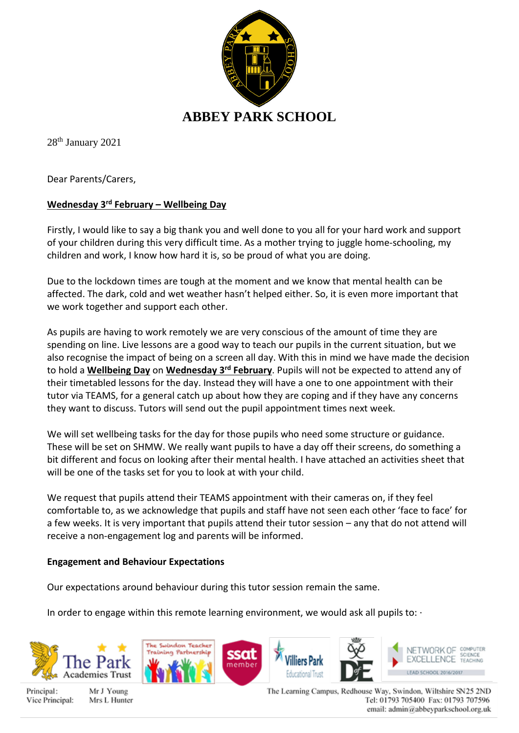

28<sup>th</sup> January 2021

Dear Parents/Carers,

## **Wednesday 3rd February – Wellbeing Day**

Firstly, I would like to say a big thank you and well done to you all for your hard work and support of your children during this very difficult time. As a mother trying to juggle home-schooling, my children and work, I know how hard it is, so be proud of what you are doing.

Due to the lockdown times are tough at the moment and we know that mental health can be affected. The dark, cold and wet weather hasn't helped either. So, it is even more important that we work together and support each other.

As pupils are having to work remotely we are very conscious of the amount of time they are spending on line. Live lessons are a good way to teach our pupils in the current situation, but we also recognise the impact of being on a screen all day. With this in mind we have made the decision to hold a **Wellbeing Day** on **Wednesday 3rd February**. Pupils will not be expected to attend any of their timetabled lessons for the day. Instead they will have a one to one appointment with their tutor via TEAMS, for a general catch up about how they are coping and if they have any concerns they want to discuss. Tutors will send out the pupil appointment times next week.

We will set wellbeing tasks for the day for those pupils who need some structure or guidance. These will be set on SHMW. We really want pupils to have a day off their screens, do something a bit different and focus on looking after their mental health. I have attached an activities sheet that will be one of the tasks set for you to look at with your child.

We request that pupils attend their TEAMS appointment with their cameras on, if they feel comfortable to, as we acknowledge that pupils and staff have not seen each other 'face to face' for a few weeks. It is very important that pupils attend their tutor session – any that do not attend will receive a non-engagement log and parents will be informed.

## **Engagement and Behaviour Expectations**

Our expectations around behaviour during this tutor session remain the same.

In order to engage within this remote learning environment, we would ask all pupils to:  $\cdot$ 



Principal: Vice Principal:

Mr J Young Mrs L Hunter







The Learning Campus, Redhouse Way, Swindon, Wiltshire SN25 2ND Tel: 01793 705400 Fax: 01793 707596 email: admin@abbeyparkschool.org.uk